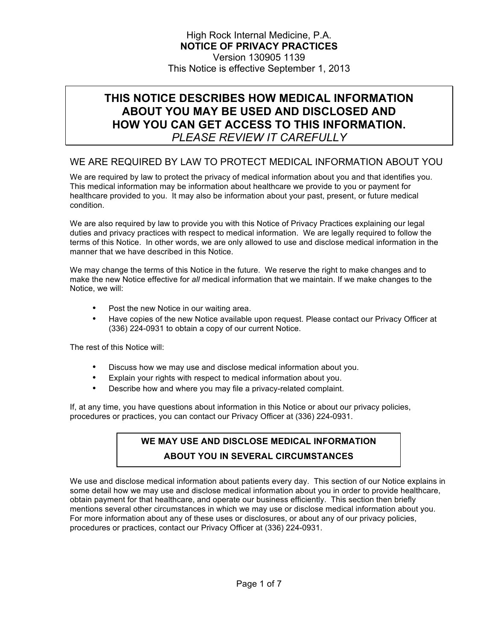# **THIS NOTICE DESCRIBES HOW MEDICAL INFORMATION ABOUT YOU MAY BE USED AND DISCLOSED AND HOW YOU CAN GET ACCESS TO THIS INFORMATION.**

*PLEASE REVIEW IT CAREFULLY*

# WE ARE REQUIRED BY LAW TO PROTECT MEDICAL INFORMATION ABOUT YOU

We are required by law to protect the privacy of medical information about you and that identifies you. This medical information may be information about healthcare we provide to you or payment for healthcare provided to you. It may also be information about your past, present, or future medical condition.

We are also required by law to provide you with this Notice of Privacy Practices explaining our legal duties and privacy practices with respect to medical information. We are legally required to follow the terms of this Notice. In other words, we are only allowed to use and disclose medical information in the manner that we have described in this Notice.

We may change the terms of this Notice in the future. We reserve the right to make changes and to make the new Notice effective for *all* medical information that we maintain. If we make changes to the Notice, we will:

- Post the new Notice in our waiting area.
- Have copies of the new Notice available upon request. Please contact our Privacy Officer at (336) 224-0931 to obtain a copy of our current Notice.

The rest of this Notice will:

- Discuss how we may use and disclose medical information about you.
- Explain your rights with respect to medical information about you.
- Describe how and where you may file a privacy-related complaint.

If, at any time, you have questions about information in this Notice or about our privacy policies, procedures or practices, you can contact our Privacy Officer at (336) 224-0931.

# **WE MAY USE AND DISCLOSE MEDICAL INFORMATION ABOUT YOU IN SEVERAL CIRCUMSTANCES**

We use and disclose medical information about patients every day. This section of our Notice explains in some detail how we may use and disclose medical information about you in order to provide healthcare, obtain payment for that healthcare, and operate our business efficiently. This section then briefly mentions several other circumstances in which we may use or disclose medical information about you. For more information about any of these uses or disclosures, or about any of our privacy policies, procedures or practices, contact our Privacy Officer at (336) 224-0931.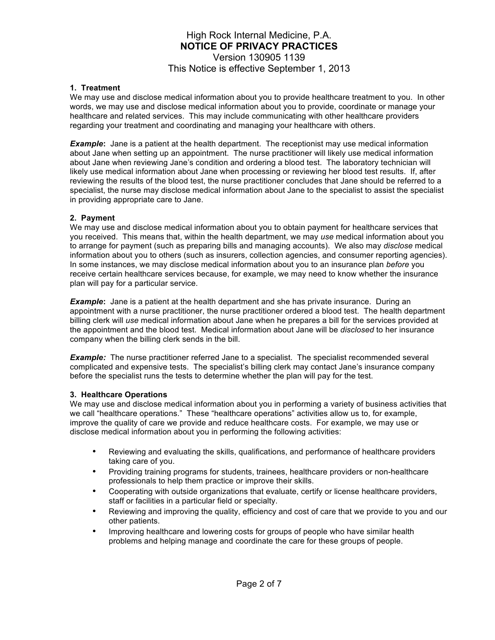#### **1. Treatment**

We may use and disclose medical information about you to provide healthcare treatment to you. In other words, we may use and disclose medical information about you to provide, coordinate or manage your healthcare and related services. This may include communicating with other healthcare providers regarding your treatment and coordinating and managing your healthcare with others.

*Example*: Jane is a patient at the health department. The receptionist may use medical information about Jane when setting up an appointment. The nurse practitioner will likely use medical information about Jane when reviewing Jane's condition and ordering a blood test. The laboratory technician will likely use medical information about Jane when processing or reviewing her blood test results. If, after reviewing the results of the blood test, the nurse practitioner concludes that Jane should be referred to a specialist, the nurse may disclose medical information about Jane to the specialist to assist the specialist in providing appropriate care to Jane.

## **2. Payment**

We may use and disclose medical information about you to obtain payment for healthcare services that you received. This means that, within the health department, we may *use* medical information about you to arrange for payment (such as preparing bills and managing accounts). We also may *disclose* medical information about you to others (such as insurers, collection agencies, and consumer reporting agencies). In some instances, we may disclose medical information about you to an insurance plan *before* you receive certain healthcare services because, for example, we may need to know whether the insurance plan will pay for a particular service.

**Example:** Jane is a patient at the health department and she has private insurance. During an appointment with a nurse practitioner, the nurse practitioner ordered a blood test. The health department billing clerk will *use* medical information about Jane when he prepares a bill for the services provided at the appointment and the blood test. Medical information about Jane will be *disclosed* to her insurance company when the billing clerk sends in the bill.

**Example:** The nurse practitioner referred Jane to a specialist. The specialist recommended several complicated and expensive tests. The specialist's billing clerk may contact Jane's insurance company before the specialist runs the tests to determine whether the plan will pay for the test.

## **3. Healthcare Operations**

We may use and disclose medical information about you in performing a variety of business activities that we call "healthcare operations." These "healthcare operations" activities allow us to, for example, improve the quality of care we provide and reduce healthcare costs. For example, we may use or disclose medical information about you in performing the following activities:

- Reviewing and evaluating the skills, qualifications, and performance of healthcare providers taking care of you.
- Providing training programs for students, trainees, healthcare providers or non-healthcare professionals to help them practice or improve their skills.
- Cooperating with outside organizations that evaluate, certify or license healthcare providers, staff or facilities in a particular field or specialty.
- Reviewing and improving the quality, efficiency and cost of care that we provide to you and our other patients.
- Improving healthcare and lowering costs for groups of people who have similar health problems and helping manage and coordinate the care for these groups of people.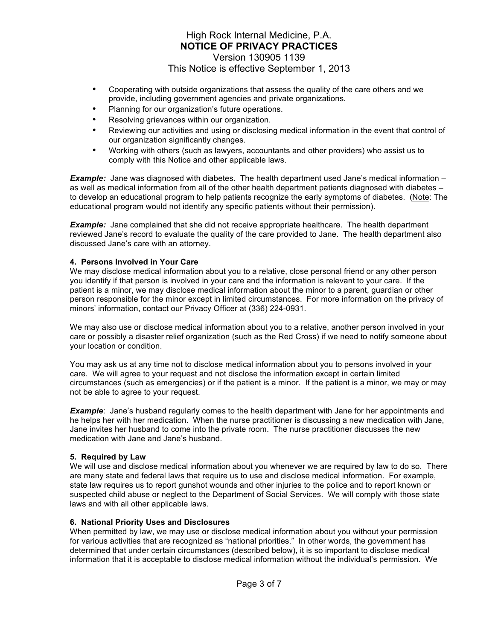- Cooperating with outside organizations that assess the quality of the care others and we provide, including government agencies and private organizations.
- Planning for our organization's future operations.
- Resolving grievances within our organization.
- Reviewing our activities and using or disclosing medical information in the event that control of our organization significantly changes.
- Working with others (such as lawyers, accountants and other providers) who assist us to comply with this Notice and other applicable laws.

**Example:** Jane was diagnosed with diabetes. The health department used Jane's medical information – as well as medical information from all of the other health department patients diagnosed with diabetes – to develop an educational program to help patients recognize the early symptoms of diabetes. (Note: The educational program would not identify any specific patients without their permission).

**Example:** Jane complained that she did not receive appropriate healthcare. The health department reviewed Jane's record to evaluate the quality of the care provided to Jane. The health department also discussed Jane's care with an attorney.

## **4. Persons Involved in Your Care**

We may disclose medical information about you to a relative, close personal friend or any other person you identify if that person is involved in your care and the information is relevant to your care. If the patient is a minor, we may disclose medical information about the minor to a parent, guardian or other person responsible for the minor except in limited circumstances. For more information on the privacy of minors' information, contact our Privacy Officer at (336) 224-0931.

We may also use or disclose medical information about you to a relative, another person involved in your care or possibly a disaster relief organization (such as the Red Cross) if we need to notify someone about your location or condition.

You may ask us at any time not to disclose medical information about you to persons involved in your care. We will agree to your request and not disclose the information except in certain limited circumstances (such as emergencies) or if the patient is a minor. If the patient is a minor, we may or may not be able to agree to your request.

*Example*: Jane's husband regularly comes to the health department with Jane for her appointments and he helps her with her medication. When the nurse practitioner is discussing a new medication with Jane, Jane invites her husband to come into the private room. The nurse practitioner discusses the new medication with Jane and Jane's husband.

## **5. Required by Law**

We will use and disclose medical information about you whenever we are required by law to do so. There are many state and federal laws that require us to use and disclose medical information. For example, state law requires us to report gunshot wounds and other injuries to the police and to report known or suspected child abuse or neglect to the Department of Social Services. We will comply with those state laws and with all other applicable laws.

## **6. National Priority Uses and Disclosures**

When permitted by law, we may use or disclose medical information about you without your permission for various activities that are recognized as "national priorities." In other words, the government has determined that under certain circumstances (described below), it is so important to disclose medical information that it is acceptable to disclose medical information without the individual's permission. We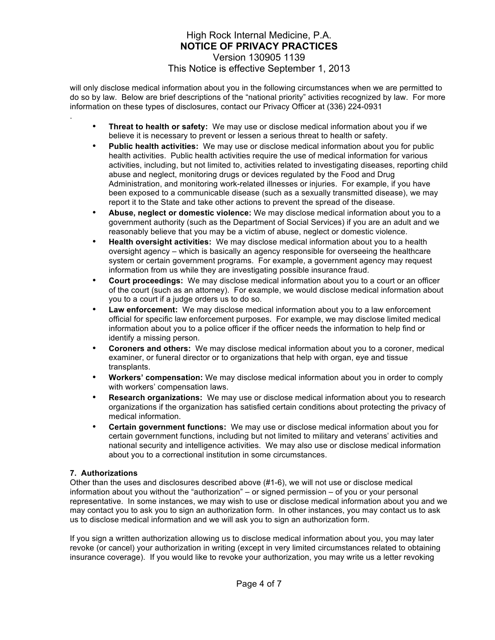will only disclose medical information about you in the following circumstances when we are permitted to do so by law. Below are brief descriptions of the "national priority" activities recognized by law. For more information on these types of disclosures, contact our Privacy Officer at (336) 224-0931

- **Threat to health or safety:** We may use or disclose medical information about you if we believe it is necessary to prevent or lessen a serious threat to health or safety.
- **Public health activities:** We may use or disclose medical information about you for public health activities. Public health activities require the use of medical information for various activities, including, but not limited to, activities related to investigating diseases, reporting child abuse and neglect, monitoring drugs or devices regulated by the Food and Drug Administration, and monitoring work-related illnesses or injuries. For example, if you have been exposed to a communicable disease (such as a sexually transmitted disease), we may report it to the State and take other actions to prevent the spread of the disease.
- **Abuse, neglect or domestic violence:** We may disclose medical information about you to a government authority (such as the Department of Social Services) if you are an adult and we reasonably believe that you may be a victim of abuse, neglect or domestic violence.
- **Health oversight activities:** We may disclose medical information about you to a health oversight agency – which is basically an agency responsible for overseeing the healthcare system or certain government programs. For example, a government agency may request information from us while they are investigating possible insurance fraud.
- **Court proceedings:** We may disclose medical information about you to a court or an officer of the court (such as an attorney). For example, we would disclose medical information about you to a court if a judge orders us to do so.
- **Law enforcement:** We may disclose medical information about you to a law enforcement official for specific law enforcement purposes. For example, we may disclose limited medical information about you to a police officer if the officer needs the information to help find or identify a missing person.
- **Coroners and others:** We may disclose medical information about you to a coroner, medical examiner, or funeral director or to organizations that help with organ, eye and tissue transplants.
- **Workers' compensation:** We may disclose medical information about you in order to comply with workers' compensation laws.
- **Research organizations:** We may use or disclose medical information about you to research organizations if the organization has satisfied certain conditions about protecting the privacy of medical information.
- **Certain government functions:** We may use or disclose medical information about you for certain government functions, including but not limited to military and veterans' activities and national security and intelligence activities. We may also use or disclose medical information about you to a correctional institution in some circumstances.

## **7. Authorizations**

.

Other than the uses and disclosures described above (#1-6), we will not use or disclose medical information about you without the "authorization" – or signed permission – of you or your personal representative. In some instances, we may wish to use or disclose medical information about you and we may contact you to ask you to sign an authorization form. In other instances, you may contact us to ask us to disclose medical information and we will ask you to sign an authorization form.

If you sign a written authorization allowing us to disclose medical information about you, you may later revoke (or cancel) your authorization in writing (except in very limited circumstances related to obtaining insurance coverage). If you would like to revoke your authorization, you may write us a letter revoking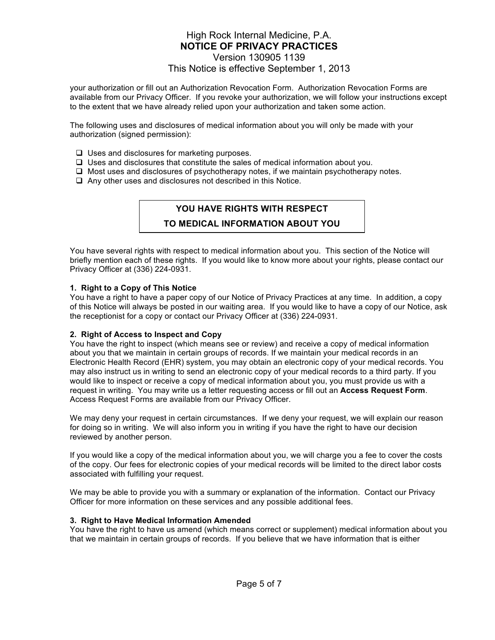## High Rock Internal Medicine, P.A. **NOTICE OF PRIVACY PRACTICES** Version 130905 1139

# This Notice is effective September 1, 2013

your authorization or fill out an Authorization Revocation Form. Authorization Revocation Forms are available from our Privacy Officer. If you revoke your authorization, we will follow your instructions except to the extent that we have already relied upon your authorization and taken some action.

The following uses and disclosures of medical information about you will only be made with your authorization (signed permission):

- $\Box$  Uses and disclosures for marketing purposes.
- $\Box$  Uses and disclosures that constitute the sales of medical information about you.
- $\Box$  Most uses and disclosures of psychotherapy notes, if we maintain psychotherapy notes.
- $\Box$  Any other uses and disclosures not described in this Notice.

## **YOU HAVE RIGHTS WITH RESPECT**

## **TO MEDICAL INFORMATION ABOUT YOU**

You have several rights with respect to medical information about you. This section of the Notice will briefly mention each of these rights. If you would like to know more about your rights, please contact our Privacy Officer at (336) 224-0931.

#### **1. Right to a Copy of This Notice**

You have a right to have a paper copy of our Notice of Privacy Practices at any time. In addition, a copy of this Notice will always be posted in our waiting area. If you would like to have a copy of our Notice, ask the receptionist for a copy or contact our Privacy Officer at (336) 224-0931.

#### **2. Right of Access to Inspect and Copy**

You have the right to inspect (which means see or review) and receive a copy of medical information about you that we maintain in certain groups of records. If we maintain your medical records in an Electronic Health Record (EHR) system, you may obtain an electronic copy of your medical records. You may also instruct us in writing to send an electronic copy of your medical records to a third party. If you would like to inspect or receive a copy of medical information about you, you must provide us with a request in writing. You may write us a letter requesting access or fill out an **Access Request Form**. Access Request Forms are available from our Privacy Officer.

We may deny your request in certain circumstances. If we deny your request, we will explain our reason for doing so in writing. We will also inform you in writing if you have the right to have our decision reviewed by another person.

If you would like a copy of the medical information about you, we will charge you a fee to cover the costs of the copy. Our fees for electronic copies of your medical records will be limited to the direct labor costs associated with fulfilling your request.

We may be able to provide you with a summary or explanation of the information. Contact our Privacy Officer for more information on these services and any possible additional fees.

#### **3. Right to Have Medical Information Amended**

You have the right to have us amend (which means correct or supplement) medical information about you that we maintain in certain groups of records. If you believe that we have information that is either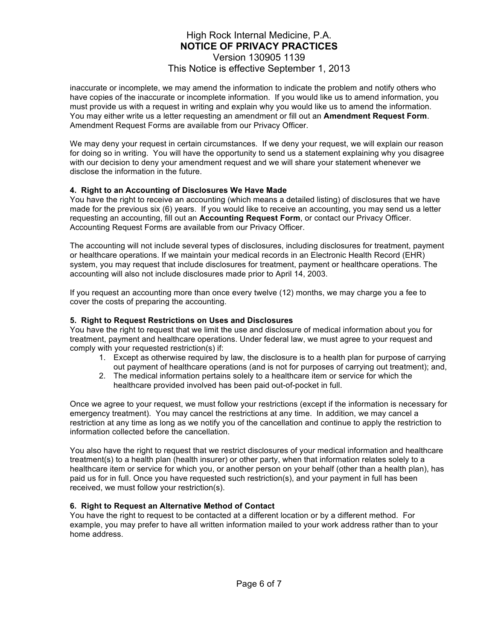inaccurate or incomplete, we may amend the information to indicate the problem and notify others who have copies of the inaccurate or incomplete information. If you would like us to amend information, you must provide us with a request in writing and explain why you would like us to amend the information. You may either write us a letter requesting an amendment or fill out an **Amendment Request Form**. Amendment Request Forms are available from our Privacy Officer.

We may deny your request in certain circumstances. If we deny your request, we will explain our reason for doing so in writing. You will have the opportunity to send us a statement explaining why you disagree with our decision to deny your amendment request and we will share your statement whenever we disclose the information in the future.

## **4. Right to an Accounting of Disclosures We Have Made**

You have the right to receive an accounting (which means a detailed listing) of disclosures that we have made for the previous six (6) years. If you would like to receive an accounting, you may send us a letter requesting an accounting, fill out an **Accounting Request Form**, or contact our Privacy Officer. Accounting Request Forms are available from our Privacy Officer.

The accounting will not include several types of disclosures, including disclosures for treatment, payment or healthcare operations. If we maintain your medical records in an Electronic Health Record (EHR) system, you may request that include disclosures for treatment, payment or healthcare operations. The accounting will also not include disclosures made prior to April 14, 2003.

If you request an accounting more than once every twelve (12) months, we may charge you a fee to cover the costs of preparing the accounting.

### **5. Right to Request Restrictions on Uses and Disclosures**

You have the right to request that we limit the use and disclosure of medical information about you for treatment, payment and healthcare operations. Under federal law, we must agree to your request and comply with your requested restriction(s) if:

- 1. Except as otherwise required by law, the disclosure is to a health plan for purpose of carrying out payment of healthcare operations (and is not for purposes of carrying out treatment); and,
- 2. The medical information pertains solely to a healthcare item or service for which the healthcare provided involved has been paid out-of-pocket in full.

Once we agree to your request, we must follow your restrictions (except if the information is necessary for emergency treatment). You may cancel the restrictions at any time. In addition, we may cancel a restriction at any time as long as we notify you of the cancellation and continue to apply the restriction to information collected before the cancellation.

You also have the right to request that we restrict disclosures of your medical information and healthcare treatment(s) to a health plan (health insurer) or other party, when that information relates solely to a healthcare item or service for which you, or another person on your behalf (other than a health plan), has paid us for in full. Once you have requested such restriction(s), and your payment in full has been received, we must follow your restriction(s).

#### **6. Right to Request an Alternative Method of Contact**

You have the right to request to be contacted at a different location or by a different method. For example, you may prefer to have all written information mailed to your work address rather than to your home address.